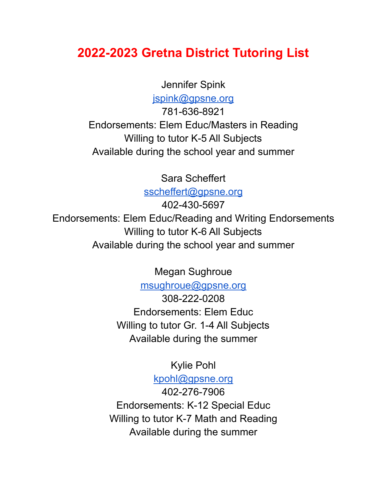## **2022-2023 Gretna District Tutoring List**

Jennifer Spink

[jspink@gpsne.org](mailto:jsprink@gpsne.org)

781-636-8921 Endorsements: Elem Educ/Masters in Reading Willing to tutor K-5 All Subjects Available during the school year and summer

Sara Scheffert

[sscheffert@gpsne.org](mailto:sscheffert@gpsne.org)

402-430-5697 Endorsements: Elem Educ/Reading and Writing Endorsements Willing to tutor K-6 All Subjects Available during the school year and summer

Megan Sughroue

[msughroue@gpsne.org](mailto:msughroue@gpsne.org)

308-222-0208 Endorsements: Elem Educ Willing to tutor Gr. 1-4 All Subjects Available during the summer

Kylie Pohl

[kpohl@gpsne.org](mailto:kpohl@gpsne.org) 402-276-7906 Endorsements: K-12 Special Educ Willing to tutor K-7 Math and Reading Available during the summer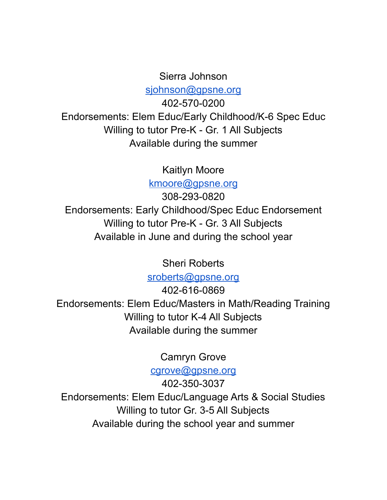## Sierra Johnson [sjohnson@gpsne.org](mailto:sjohnson@gpsne.org)

402-570-0200 Endorsements: Elem Educ/Early Childhood/K-6 Spec Educ Willing to tutor Pre-K - Gr. 1 All Subjects Available during the summer

Kaitlyn Moore

[kmoore@gpsne.org](mailto:kmoore@gpsne.org)

308-293-0820 Endorsements: Early Childhood/Spec Educ Endorsement Willing to tutor Pre-K - Gr. 3 All Subjects Available in June and during the school year

Sheri Roberts

[sroberts@gpsne.org](mailto:sroberts@gpsne.org)

402-616-0869 Endorsements: Elem Educ/Masters in Math/Reading Training Willing to tutor K-4 All Subjects Available during the summer

Camryn Grove

[cgrove@gpsne.org](mailto:cgrove@gpsne.org)

402-350-3037 Endorsements: Elem Educ/Language Arts & Social Studies Willing to tutor Gr. 3-5 All Subjects Available during the school year and summer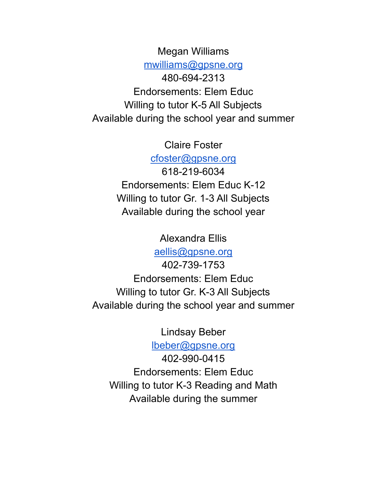Megan Williams

[mwilliams@gpsne.org](mailto:mwilliams@gpsne.org)

480-694-2313 Endorsements: Elem Educ Willing to tutor K-5 All Subjects Available during the school year and summer

Claire Foster

[cfoster@gpsne.org](mailto:cfoster@gpsne.org) 618-219-6034 Endorsements: Elem Educ K-12 Willing to tutor Gr. 1-3 All Subjects Available during the school year

> Alexandra Ellis [aellis@gpsne.org](mailto:aellis@gpsne.org)

402-739-1753 Endorsements: Elem Educ Willing to tutor Gr. K-3 All Subjects Available during the school year and summer

Lindsay Beber

[lbeber@gpsne.org](mailto:lbeber@gpsne.org)

402-990-0415 Endorsements: Elem Educ Willing to tutor K-3 Reading and Math Available during the summer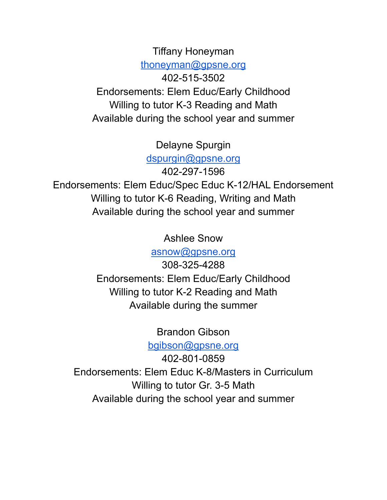Tiffany Honeyman [thoneyman@gpsne.org](mailto:thoneyman@gpsne.org) 402-515-3502 Endorsements: Elem Educ/Early Childhood Willing to tutor K-3 Reading and Math Available during the school year and summer

Delayne Spurgin

[dspurgin@gpsne.org](mailto:dspurgin@gpsne.org)

402-297-1596

Endorsements: Elem Educ/Spec Educ K-12/HAL Endorsement Willing to tutor K-6 Reading, Writing and Math Available during the school year and summer

> Ashlee Snow [asnow@gpsne.org](mailto:asnow@gpsne.org)

308-325-4288 Endorsements: Elem Educ/Early Childhood Willing to tutor K-2 Reading and Math Available during the summer

Brandon Gibson

[bgibson@gpsne.org](mailto:bgibson@gpsne.org)

402-801-0859 Endorsements: Elem Educ K-8/Masters in Curriculum Willing to tutor Gr. 3-5 Math Available during the school year and summer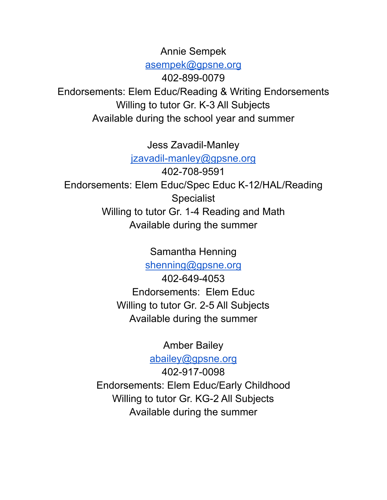Annie Sempek

[asempek@gpsne.org](mailto:asempek@gpsne.org)

402-899-0079

Endorsements: Elem Educ/Reading & Writing Endorsements Willing to tutor Gr. K-3 All Subjects Available during the school year and summer

Jess Zavadil-Manley

[jzavadil-manley@gpsne.org](mailto:jzavadil-manley@gpsne.org)

402-708-9591 Endorsements: Elem Educ/Spec Educ K-12/HAL/Reading **Specialist** Willing to tutor Gr. 1-4 Reading and Math Available during the summer

Samantha Henning

[shenning@gpsne.org](mailto:shenning@gpsne.org)

402-649-4053 Endorsements: Elem Educ Willing to tutor Gr. 2-5 All Subjects Available during the summer

Amber Bailey

[abailey@gpsne.org](mailto:abailey@gpsne.org)

402-917-0098 Endorsements: Elem Educ/Early Childhood Willing to tutor Gr. KG-2 All Subjects Available during the summer